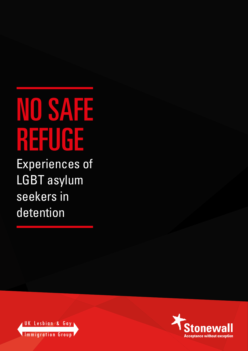# NO SAFE **REFUGE**

Experiences of LGBT asylum seekers in detention



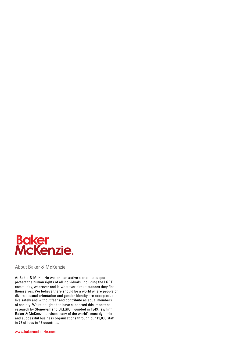

About Baker & McKenzie

At Baker & McKenzie we take an active stance to support and protect the human rights of all individuals, including the LGBT community, wherever and in whatever circumstances they find themselves. We believe there should be a world where people of diverse sexual orientation and gender identity are accepted, can live safely and without fear and contribute as equal members of society. We're delighted to have supported this important research by Stonewall and UKLGIG. Founded in 1949, law firm Baker & McKenzie advises many of the world's most dynamic and successful business organizations through our 13,000 staff in 77 offices in 47 countries.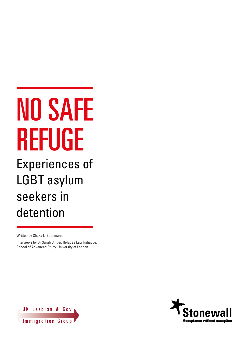# NO SAFE REFUGE

Experiences of LGBT asylum seekers in detention

Written by Chaka L. Bachmann

Interviews by Dr Sarah Singer, Refugee Law Initiative, School of Advanced Study, University of London



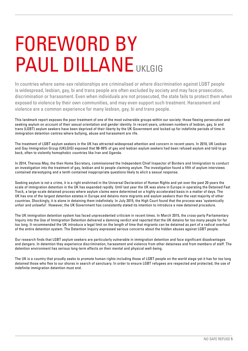## FOREWORD BY PAUL DILLANE UKLGIG

In countries where same-sex relationships are criminalised or where discrimination against LGBT people is widespread, lesbian, gay, bi and trans people are often excluded by society and may face prosecution, discrimination or harassment. Even when individuals are not prosecuted, the state fails to protect them when exposed to violence by their own communities, and may even support such treatment. Harassment and violence are a common experience for many lesbian, gay, bi and trans people.

This landmark report exposes the poor treatment of one of the most vulnerable groups within our society: those fleeing persecution and seeking asylum on account of their sexual orientation and gender identity. In recent years, unknown numbers of lesbian, gay, bi and trans (LGBT) asylum seekers have been deprived of their liberty by the UK Government and locked up for indefinite periods of time in immigration detention centres where bullying, abuse and harassment are rife.

The treatment of LGBT asylum seekers in the UK has attracted widespread attention and concern in recent years. In 2010, UK Lesbian and Gay Immigration Group (UKLGIG) exposed that 98-99% of gay and lesbian asylum seekers had been refused asylum and told to go back, often to violently homophobic countries like Iran and Uganda.

In 2014, Theresa May, the then Home Secretary, commissioned the Independent Chief Inspector of Borders and Immigration to conduct an investigation into the treatment of gay, lesbian and bi people claiming asylum. The investigation found a fifth of asylum interviews contained stereotyping and a tenth contained inappropriate questions likely to elicit a sexual response.

Seeking asylum is not a crime, it is a right enshrined in the Universal Declaration of Human Rights and yet over the past 20 years the scale of immigration detention in the UK has expanded rapidly. Until last year the UK was alone in Europe in operating the Detained Fast Track, a large-scale detained process where asylum claims were determined on a highly accelerated basis in a matter of days. The UK has one of the largest detention estates in Europe and detains more migrants and asylum seekers than the vast majority of other countries. Shockingly, it is alone in detaining them indefinitely. In July 2015, the High Court found that the process was 'systemically unfair and unlawful'. However, the UK Government has consistently stated its intention to introduce a new detained procedure.

The UK immigration detention system has faced unprecedented criticism in recent times. In March 2015, the cross-party Parliamentary Inquiry into the Use of Immigration Detention delivered a damning verdict and reported that the UK detains far too many people for far too long. It recommended the UK introduce a legal limit on the length of time that migrants can be detained as part of a radical overhaul of the entire detention system. The Detention Inquiry expressed serious concerns about the hidden abuses against LGBT people.

Our research finds that LGBT asylum seekers are particularly vulnerable in immigration detention and face significant disadvantages and dangers. In detention they experience discrimination, harassment and violence from other detainees and from members of staff. The detention environment has serious long-term effects on their mental and physical well-being.

The UK is a country that proudly seeks to promote human rights including those of LGBT people on the world stage yet it has for too long detained those who flee to our shores in search of sanctuary. In order to ensure LGBT refugees are respected and protected, the use of indefinite immigration detention must end.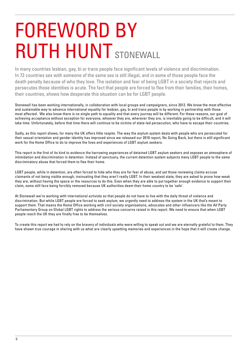## FOREWORD BY RUTH HUNT STONEWALL

In many countries lesbian, gay, bi or trans people face significant levels of violence and discrimination. In 72 countries sex with someone of the same sex is still illegal, and in some of those people face the death penalty because of who they love. The isolation and fear of being LGBT in a society that rejects and persecutes those identities is acute. The fact that people are forced to flee from their families, their homes, their countries, shows how desperate this situation can be for LGBT people.

Stonewall has been working internationally, in collaboration with local groups and campaigners, since 2012. We know the most effective and sustainable way to advance international equality for lesbian, gay, bi and trans people is by working in partnership with those most affected. We also know there is no single path to equality and that every journey will be different. For these reasons, our goal of achieving acceptance without exception for everyone, whoever they are, wherever they are, is inevitably going to be difficult, and it will take time. Unfortunately, before that time there will continue to be victims of state-led persecution, who have to escape their countries.

Sadly, as this report shows, for many the UK offers little respite. The way the asylum system deals with people who are persecuted for their sexual orientation and gender identity has improved since we released our 2010 report, No Going Back, but there is still significant work for the Home Office to do to improve the lives and experiences of LGBT asylum seekers.

This report is the first of its kind to evidence the harrowing experiences of detained LGBT asylum seekers and exposes an atmosphere of intimidation and discrimination in detention. Instead of sanctuary, the current detention system subjects many LGBT people to the same discriminatory abuse that forced them to flee their home.

LGBT people, while in detention, are often forced to hide who they are for fear of abuse, and yet those reviewing claims accuse claimants of not being visible enough, insinuating that they aren't really LGBT. In their weakest state, they are asked to prove how weak they are, without having the space or the resources to do this. Even when they are able to put together enough evidence to support their claim, some still face being forcibly removed because UK authorities deem their home country to be 'safe'.

At Stonewall we're working with international activists so that people do not have to live with the daily threat of violence and discrimination. But while LGBT people are forced to seek asylum, we urgently need to address the system in the UK that's meant to support them. That means the Home Office working with civil society organisations, advocates and other influencers like the All Party Parliamentary Group on Global LGBT rights to address the serious concerns raised in this report. We need to ensure that when LGBT people reach the UK they are finally free to be themselves.

To create this report we had to rely on the bravery of individuals who were willing to speak out and we are eternally grateful to them. They have shown true courage in sharing with us what are clearly upsetting memories and experiences in the hope that it will create change.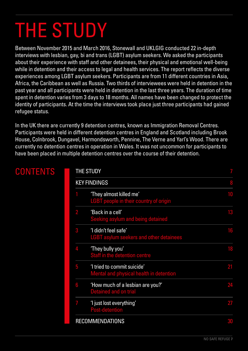## THE STUDY

Between November 2015 and March 2016, Stonewall and UKLGIG conducted 22 in-depth interviews with lesbian, gay, bi and trans (LGBT) asylum seekers. We asked the participants about their experience with staff and other detainees, their physical and emotional well-being while in detention and their access to legal and health services. The report reflects the diverse experiences among LGBT asylum seekers. Participants are from 11 different countries in Asia, Africa, the Caribbean as well as Russia. Two thirds of interviewees were held in detention in the past year and all participants were held in detention in the last three years. The duration of time spent in detention varies from 3 days to 18 months. All names have been changed to protect the identity of participants. At the time the interviews took place just three participants had gained refugee status.

In the UK there are currently 9 detention centres, known as Immigration Removal Centres. Participants were held in different detention centres in England and Scotland including Brook House, Colnbrook, Dungavel, Harmondsworth, Pennine, The Verne and Yarl's Wood. There are currently no detention centres in operation in Wales. It was not uncommon for participants to have been placed in multiple detention centres over the course of their detention.

THE **STUDY** 

| <b>THE STUDY</b> |                                                                          |    |
|------------------|--------------------------------------------------------------------------|----|
|                  | <b>KEY FINDINGS</b>                                                      | 8  |
|                  | 'They almost killed me'<br><b>LGBT</b> people in their country of origin | 10 |
| $\overline{2}$   | 'Back in a cell'<br>Seeking asylum and being detained                    | 13 |
| 3                | 'I didn't feel safe'<br><b>LGBT asylum seekers and other detainees</b>   | 16 |
| 4                | 'They bully you'<br>Staff in the detention centre                        | 18 |
| 5                | 'I tried to commit suicide'<br>Mental and physical health in detention   | 21 |
| 6                | 'How much of a lesbian are you?'<br><b>Detained and on trial</b>         | 24 |
| 7                | 'I just lost everything'<br><b>Post-detention</b>                        | 27 |
|                  | <b>RECOMMENDATIONS</b>                                                   | 30 |

## **CONTENTS**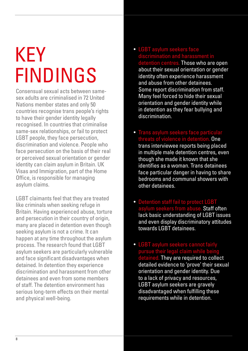## **KEY** FINDINGS

Consensual sexual acts between samesex adults are criminalised in 72 United Nations member states and only 50 countries recognise trans people's rights to have their gender identity legally recognised. In countries that criminalise same-sex relationships, or fail to protect LGBT people, they face persecution, discrimination and violence. People who face persecution on the basis of their real or perceived sexual orientation or gender identity can claim asylum in Britain. UK Visas and Immigration, part of the Home Office, is responsible for managing asylum claims.

LGBT claimants feel that they are treated like criminals when seeking refuge in Britain. Having experienced abuse, torture and persecution in their country of origin, many are placed in detention even though seeking asylum is not a crime. It can happen at any time throughout the asylum process. The research found that LGBT asylum seekers are particularly vulnerable and face significant disadvantages when detained. In detention they experience discrimination and harassment from other detainees and even from some members of staff. The detention environment has serious long-term effects on their mental and physical well-being.

- LGBT asylum seekers face discrimination and harassment in detention centres. Those who are open about their sexual orientation or gender identity often experience harassment and abuse from other detainees. Some report discrimination from staff. Many feel forced to hide their sexual orientation and gender identity while in detention as they fear bullying and discrimination.
- Trans asylum seekers face particular threats of violence in detention. One trans interviewee reports being placed in multiple male detention centres, even though she made it known that she identifies as a woman. Trans detainees face particular danger in having to share bedrooms and communal showers with other detainees.
- Detention staff fail to protect LGBT asylum seekers from abuse. Staff often lack basic understanding of LGBT issues and even display discriminatory attitudes towards LGBT detainees.
- LGBT asylum seekers cannot fairly pursue their legal claim while being detained. They are required to collect detailed evidence to 'prove' their sexual orientation and gender identity. Due to a lack of privacy and resources, LGBT asylum seekers are gravely disadvantaged when fulfilling these requirements while in detention.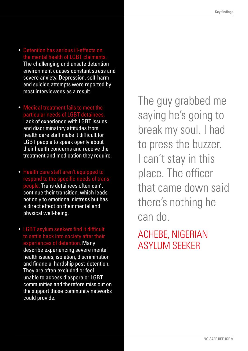- Detention has serious ill-effects on the mental health of LGBT claimants. The challenging and unsafe detention environment causes constant stress and severe anxiety. Depression, self-harm and suicide attempts were reported by most interviewees as a result.
- Medical treatment fails to meet the particular needs of LGBT detainees. Lack of experience with LGBT issues and discriminatory attitudes from health care staff make it difficult for LGBT people to speak openly about their health concerns and receive the treatment and medication they require.
- Health care staff aren't equipped to respond to the specific needs of trans people. Trans detainees often can't continue their transition, which leads not only to emotional distress but has a direct effect on their mental and physical well-being.
- LGBT asylum seekers find it difficult to settle back into society after their experiences of detention. Many describe experiencing severe mental health issues, isolation, discrimination and financial hardship post-detention. They are often excluded or feel unable to access diaspora or LGBT communities and therefore miss out on the support those community networks could provide.

The guy grabbed me saying he's going to break my soul. I had to press the buzzer. I can't stay in this place. The officer that came down said there's nothing he can do.

ACHEBE, NIGERIAN ASYLUM SEEKER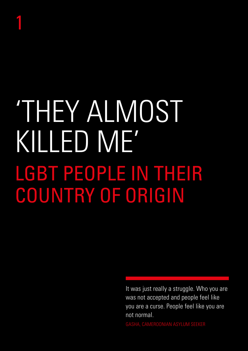## 1

# 'THEY ALMOST KILLED ME' LGBT PEOPLE IN THEIR COUNTRY OF ORIGIN

It was just really a struggle. Who you are was not accepted and people feel like you are a curse. People feel like you are not normal.

GASHA, CAMEROONIAN ASYLUM SEEKER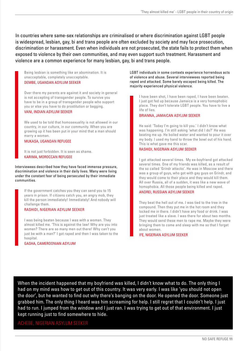In countries where same-sex relationships are criminalised or where discrimination against LGBT people is widespread, lesbian, gay, bi and trans people are often excluded by society and may face prosecution, discrimination or harassment. Even when individuals are not prosecuted, the state fails to protect them when exposed to violence by their own communities, and may even support such treatment. Harassment and violence are a common experience for many lesbian, gay, bi and trans people.

Being lesbian is something like an abomination. It is unacceptable, completely unacceptable. DEMBE, UGANDAN ASYLUM SEEKER

Over there my parents are against it and society in general is not accepting of transgender people. To survive you have to be in a group of transgender people who support you or else you have to do prostitution or begging. VANI, INDIAN ASYLUM SEEKER

We used to be told that homosexuality is not allowed in our country, in our culture, in our community. When you are growing up it has been put in your mind that a man should marry a woman.

## MUKASA, UGANDAN REFUGEE

It is not just forbidden. It is seen as shame. KARIMA, MOROCCAN REFUGEE

Interviewees described how they have faced immense pressure, discrimination and violence in their daily lives. Many were living under the constant fear of being persecuted by their immediate communities.

If the government catches you they can send you to 15 years in prison. If citizens catch you, an angry mob, they kill the person immediately! Immediately! And nobody will challenge them.

## RASHIDI, NIGERIAN ASYLUM SEEKER

I was being beaten because I was with a woman. They almost killed me. 'This is against the law! Why are you into women? There are so many men out there! Why can't you just be with a man?' I got raped and then I was taken to the hospital.

## GASHA, CAMEROONIAN ASYLUM

LGBT individuals in some contexts experience horrendous acts of violence and abuse. Several interviewees reported being raped and attacked. Some barely escaped being killed. The majority experienced physical violence.

I have been shot, I have been raped, I have been beaten. I just got fed up because Jamaica is a very homophobic place. They don't tolerate LGBT people. You have to live a life of lies.

## BRIANNA, JAMAICAN ASYLUM SEEKER

He said: 'Today I'm going to kill you.' I didn't know what was happening. I'm still asking 'what did I do?' He was beating me up. He boiled water and wanted to pour it over my body. I used my hand to throw the bowl out of his hand. This is what gave me this scar.

## RASHIDI, NIGERIAN ASYLUM SEEKER

I got attacked several times. My ex-boyfriend got attacked several times. One of my friends was killed, as a result of the so called 'Grindr attacks'. He was in Moscow and there was a group of guys, who got with gay guys on Grindr, and they would come to their place and they would kill them. All over Russia, all of a sudden, it was like a new wave of homophobia. All those people being killed and raped. ANDREI, RUSSIAN ASYLUM SEEKER

They beat the hell out of me. I was tied to the tree in the compound. Then they put me in the hot room and they locked me in there. I didn't have any food or drink. I was just treated like a slave. I was there for about two months. They would send these men to rape me. Maybe they were bringing them to come and sleep with me so that I forget about women.

IFE, NIGERIAN ASYLUM SEEKER

When the incident happened that my boyfriend was killed, I didn't know what to do. The only thing I had on my mind was how to get out of this country. It was very early. I was like 'you should not open the door', but he wanted to find out why there's banging on the door. He opened the door. Someone just grabbed him. The only thing I heard was him screaming for help. I still regret that I couldn't help. I just had to run. I jumped from the window and I just ran. I was trying to get out of that environment. I just kept running just to find somewhere to hide.

ACHEBE, NIGERIAN ASYLUM SEEKER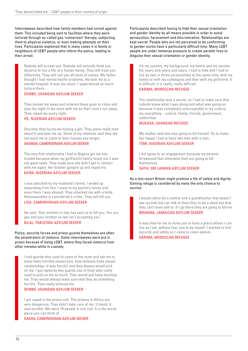Interviewees described how family members had turned against them. This included being sent to facilities where they were tortured through so-called gay 'conversion' therapy, subjecting them to physical violence, or even making attempts on their lives. Participants explained that in many cases it is family or neighbours of LGBT people who inform the police, leading to their arrest.

Nobody will accept you. Nobody will actually think you deserve to live a life of a human being. They will treat you differently. They will call you all sorts of names. My father thought I had mental health problems. He took me to a mental hospital. It was too much. I experienced so much torture there.

## DEMBE, UGANDAN ASYLUM SEEKER

They locked me away and ordered these guys to come and stay the night in the room with me so that I won't run away. They raped me every night.

## IFE, NIGERIAN ASYLUM SEEKER

One time they found me kissing a girl. They were really mad about it and beat me up. Some of my relatives said they did not want me to come to their houses any longer.

## ANANDA, CAMEROONIAN ASYLUM SEEKER

The very first relationship I had in Nigeria got me into trouble because when my girlfriend's family found out it was not good news. They made sure she didn't get in contact with me again. Her brother ganged up and raped me.

## KEIRA, NIGERIAN ASYLUM SEEKER

I was attacked by my husband's family. I ended up separating from him. I went to my parent's house and even there I was abused. They attacked me with a knife. Homosexuality is considered a crime. They will kill you. LISA, CAMEROONIAN ASYLUM SEEKER

He said: 'Your brother-in-law has sent us to kill you. You are gay and your brother-in-law isn't accepting you.' BILAL, PAKISTANI ASYLUM SEEKER

Police, security forces and prison guards themselves are often the perpetrators of violence. Some interviewees were put in prison because of being LGBT, where they faced violence from other inmates while in custody.

I had guards who used to come to the room and ask me to show them horrible sexual acts, how lesbians have sexual relationships. It was horrific and they always would pick on me. I got raped by two guards one of them who really used to pick on me so much. They would just keep mocking me. They would always make sure that they do something horrific. They really tortured me.

## DEMBE, UGANDAN ASYLUM SEEKER

I got raped in the prison cell. The prisons in Africa are very dangerous. They didn't take care of me. It stank. It was terrible. We were 10 people in one cell. It is the worst place you can think of.

GASHA, CAMEROONIAN ASYLUM SEEKER

Participants described having to hide their sexual orientation and gender identity by all means possible in order to avoid persecution, harassment and discrimination. Relationships are kept secret. People who are not perceived to be conforming to gender norms have a particularly difficult time. Many LGBT people are under immense pressure to create parallel lives to disguise their sexual orientation or gender identity.

It's my country, my background, my family and my society. For years and years and years, I had to hide and I had to live as two or three personalities at the same time; with my family or with my colleagues and then with my girlfriend. It is difficult, it is really, really difficult.

## KARIMA, MOROCCAN REFUGEE

The relationship was a secret, so I had to make sure that nobody knew what I was doing and what was going on because it was completely unacceptable in my culture, my everything – culture, family, friends, government, authorities.

## MUKASA, UGANDAN REFUGEE

My mother said she was going to kill herself. So to make her happy I had to have two kids with a man.

## TEMI, NIGERIAN ASYLUM SEEKER

I did agree to an engagement because my parents threatened that otherwise they are going to kill themselves.

### SATHI, SRI LANKAN ASYLUM SEEKER

As a last resort Britain might promise a life of safety and dignity. Gaining refuge is considered by many the only chance to survive.

I would rather be a mother and a grandmother that doesn't see my kids but can talk to them than to be a dead one that they can't even talk to. If I go there they are going to kill me. BRIANNA, JAMAICAN ASYLUM SEEKER

It was time for me to move just to have a place where I can live as I am, without fear, just to be myself. I wanted to find security and safety so I came to claim asylum.

KARIMA, MOROCCAN REFUGEE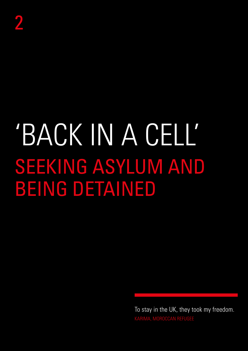# 'BACK IN A CELL' SEEKING ASYLUM AND BEING DETAINED

To stay in the UK, they took my freedom. KARIMA, MOROCCAN REFUGEE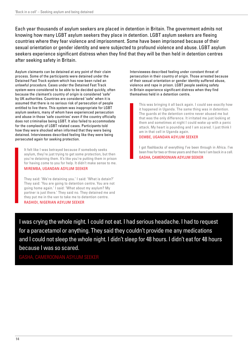Each year thousands of asylum seekers are placed in detention in Britain. The government admits not knowing how many LGBT asylum seekers they place in detention. LGBT asylum seekers are fleeing countries where they fear violence and imprisonment. Some have been imprisoned because of their sexual orientation or gender identity and were subjected to profound violence and abuse. LGBT asylum seekers experience significant distress when they find that they will be then held in detention centres after seeking safety in Britain.

Asylum claimants can be detained at any point of their claim process. Some of the participants were detained under the Detained Fast Track system which has now been ruled an unlawful procedure. Cases under the Detained Fast Track system were considered to be able to be decided quickly, often because the claimant's country of origin is considered 'safe' by UK authorities. Countries are considered 'safe' when it is assumed that there is no serious risk of persecution of people entitled to live there. This system was inappropriate for LGBT asylum seekers, many of whom have experienced persecution and abuse in those 'safe countries' even if the country officially does not criminalise being LGBT. It also failed to accommodate for the complexity of LGBT related cases. Participants told how they were shocked when informed that they were being detained. Interviewees described feeling like they were being persecuted again for seeking protection.

It felt like I was betrayed because if somebody seeks asylum, they're just trying to get some protection, but then you're detaining them. It's like you're putting them in prison for having come to you for help. It didn't make sense to me. MIREMBA, UGANDAN ASYLUM SEEKER

They said: 'We're detaining you.' I said: 'What is detain?' They said: 'You are going to detention centre. You are not going home again.' I said: 'What about my asylum? My partner is just there.' They said no. They detained me and they put me in the van to take me to detention centre. RASHIDI, NIGERIAN ASYLUM SEEKER

Interviewees described feeling under constant threat of persecution in their country of origin. Those arrested because of their sexual orientation or gender identity suffered abuse, violence and rape in prison. LGBT people seeking safety in Britain experience significant distress when they find themselves held in a detention centre.

This was bringing it all back again. I could see exactly how it happened in Uganda. The same thing was in detention. The guards at the detention centre never abused me but that was the only difference. It irritated me just looking at them and sometimes at night I could wake up with a panic attack. My heart is pounding and I am scared. I just think I am in that cell in Uganda again.

## DEMBE, UGANDAN ASYLUM SEEKER

I got flashbacks of everything I've been through in Africa. I've been free for two or three years and then here I am back in a cell. GASHA, CAMEROONIAN ASYLUM SEEKER

I was crying the whole night. I could not eat. I had serious headache. I had to request for a paracetamol or anything. They said they couldn't provide me any medications and I could not sleep the whole night. I didn't sleep for 48 hours. I didn't eat for 48 hours because I was so scared.

GASHA, CAMEROONIAN ASYLUM SEEKER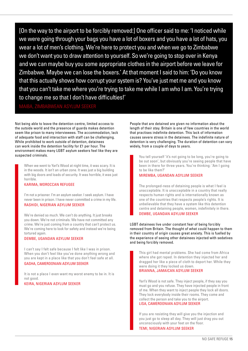[On the way to the airport to be forcibly removed:] One officer said to me: 'I noticed while we were going through your bags you have a lot of boxers and you have a lot of hats, you wear a lot of men's clothing. We're here to protect you and when we go to Zimbabwe we don't want you to draw attention to yourself. So we're going to stop over in Kenya and we can maybe buy you some appropriate clothes in the airport before we leave for Zimbabwe. Maybe we can lose the boxers.' At that moment I said to him: 'Do you know that this actually shows how corrupt your system is? You've just met me and you know that you can't take me where you're trying to take me while I am who I am. You're trying to change me so that I don't have difficulties!'

MAIBA, ZIMBABWEAN ASYLUM SEEKER

Not being able to leave the detention centre, limited access to the outside world and the presence of guards makes detention seem like prison to many interviewees. The accommodation, lack of adequate food and interaction with staff can be challenging. While prohibited to work outside of detention, detainees can work inside the detention facility for £1 per hour. The environment makes many LGBT asylum seekers feel like they are suspected criminals.

When we went to Yarl's Wood at night time, it was scary. It is in the woods. It isn't an urban zone. It was just a big building with big doors and loads of security. It was horrible, it was just horrible.

## KARIMA, MOROCCAN REFUGEE

I'm not a prisoner. I'm an asylum seeker. I seek asylum. I have never been in prison. I have never committed a crime in my life. RASHIDI, NIGERIAN ASYLUM SEEKER

We're denied so much. We can't do anything. It just breaks you down. We're not criminals. We have not committed any crime. We're just coming from a country that can't protect us. We're coming here to look for safety and instead we're being tortured again.

## DEMBE, UGANDAN ASYLUM SEEKER

I can't say I felt safe because I felt like I was in prison. When you don't feel like you've done anything wrong and you are kept in a place like that you don't feel safe at all. GASHA, CAMEROONIAN ASYLUM SEEKER

It is not a place I even want my worst enemy to be in. It is not good.

KEIRA, NIGERIAN ASYLUM SEEKER

People that are detained are given no information about the length of their stay. Britain is one of few countries in the world that practises indefinite detention. This lack of information causes severe stress in the detainees. The indefinite nature of detention is very challenging. The duration of detention can vary widely, from a couple of days to years.

You tell yourself 'it's not going to be long, you're going to be out soon', but obviously you're seeing people that have been in there for three years. You're thinking: 'Am I going to be like them?'

## MIREMBA, UGANDAN ASYLUM SEEKER

The prolonged-ness of detaining people is what I feel is unacceptable. It is unacceptable in a country that really respects human rights and is internationally known as one of the countries that respects people's rights. It is unbelievable that they have a system like this detention centre and detaining people, women, indefinitely in there. DEMBE, UGANDAN ASYLUM SEEKER

LGBT detainees live under constant fear of being forcibly removed from Britain. The thought of what could happen to them in their country of origin causes great anxiety. This is fuelled by the experience of seeing other detainees injected with sedatives and being forcibly removed.

This girl had mental problems. She had come from Africa where she got raped. In detention they injected her and dragged her like a piece of cloth to deport her. While they were doing it they locked us down. BRIANNA, JAMAICAN ASYLUM SEEKER

Yarl's Wood is not safe. They inject people, if they say you must go and you refuse. They have injected people in front of me. When they want to inject people they lock all doors. They lock everybody inside their rooms. They come and collect the person and take you to the airport. LISA, CAMEROONIAN ASYLUM SEEKER

If you are resisting they will give you the injection and you just go to sleep all day. They will just drag you out unconsciously with your feet on the floor. TEMI, NIGERIAN ASYLUM SEEKER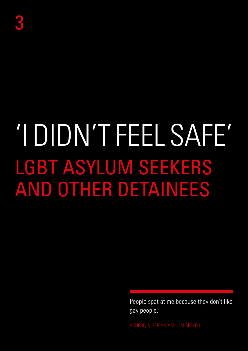# 'I DIDN'T FEEL SAFE' LGBT ASYLUM SEEKERS AND OTHER DETAINEES

People spat at me because they don't like gay people.

ACHEBE, NIGERIAN ASYLUM SEEKER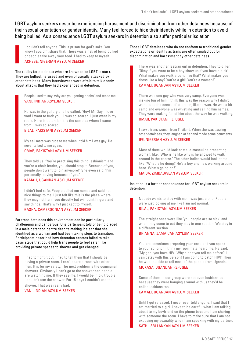LGBT asylum seekers describe experiencing harassment and discrimination from other detainees because of their sexual orientation or gender identity. Many feel forced to hide their identity while in detention to avoid being bullied. As a consequence LGBT asylum seekers in detention also suffer particular isolation.

I couldn't tell anyone. This is prison for god's sake. You know I couldn't share that. There was a risk of being bullied or people take away your food. I had to keep to myself. ACHEBE, NIGERIAN ASYLUM SEEKER

The reality for detainees who are known to be LGBT is stark. They are bullied, harassed and even physically attacked by other detainees. Many interviewees were afraid to talk openly about attacks that they had experienced in detention.

People used to say 'why are you getting boobs' and tease me. VANI, INDIAN ASYLUM SEEKER

He was in the gallery and he called: 'Hey! Mr Gay, I love you! I want to fuck you.' I was so scared. I just went in my room. Here in detention it is the same as where I came from. I was so scared.

BILAL, PAKISTANI ASYLUM SEEKER

My cell mate was rude to me when I told him I was gay. He never talked to me again.

OMAR, PAKISTANI ASYLUM SEEKER

They told us: 'You're practising this thing lesbianism and you're a choir leader, you should stop it. Because of you, people don't want to join anymore!' She even said: 'I'm personally leaving because of you.'

KAMALI, UGANDAN ASYLUM SEEKER

I didn't feel safe. People called me names and said not nice things to me. I just felt like this is the place where they may not harm you directly but will point fingers and say things. That's why I just kept to myself.

## GASHA, CAMEROONIAN ASYLUM SEEKER

For trans detainees this environment can be particularly challenging and dangerous. One participant told of being placed in a male detention centre despite making it clear that she identified as a woman and had been taking steps to transition. Participants described how detention centres failed to take basic steps that could help trans people to feel safer, like providing private spaces to shower and get changed.

I had to fight it out. I had to tell them that I should be having a private room. I can't share a room with other men. It is for my safety. The next problem is the communal showers. Obviously I can't go to the shower and people are watching me. If they see me, I would be in big trouble. I couldn't use the shower. For 15 days I couldn't use the shower. That was really bad.

VANI, INDIAN ASYLUM SEEKER

Those LGBT detainees who do not conform to traditional gender expectations or identify as trans are often singled out for discrimination and harassment by other detainees.

There was another lesbian girl in detention. They told her: 'Okay if you want to be a boy show us if you have a dick! What makes you walk around like that? What makes you dress like a boy? You're a girl! You're a woman!' KAMALI, UGANDAN ASYLUM SEEKER

There was one guy who was very camp. Everyone was making fun of him. I think this was the reason why I didn't want to be the centre of attention, like he was. He was a bit camp and everyone was whistling and calling him names. They were making fun of him about the way he was walking. OMAR, PAKISTANI REFUGEE

I saw a trans woman from Thailand. When she was passing other detainees, they laughed at her and made some comments. IFE, NIGERIAN ASYLUM SEEKER

Most of them would look at me, a masculine presenting woman, like: 'Who is he like why is he allowed to walk around in the centre.' The other ladies would look at me like: 'What is he doing? He's a boy and he's walking around here. What's going on?'

## MAIBA, ZIMBABWEAN ASYLUM SEEKER

## Isolation is a further consequence for LGBT asylum seekers in detention.

Nobody wants to stay with me. I was just alone. People were just looking at me like I am not normal. BILAL, PAKISTANI ASYLUM SEEKER

The straight ones were like 'you people are so sick' and when they come to eat they stay in one section. We stay in a different section.

## BRIANNA, JAMAICAN ASYLUM SEEKER

You are sometimes preparing your case and you speak to your solicitor. I think my roommate heard me. He said: 'My god, you have HIV! Why didn't you tell me before? I can't stay with this person! I am going to catch HIV!' Then he went outside to tell most of the people from Uganda. MUKASA, UGANDAN REFUGEE

Some of them in our group were not even lesbians but because they were hanging around with us they'd be called lesbians too.

## KAMALI, UGANDAN ASYLUM SEEKER

Until I got released, I never ever told anyone. I said that I am married to a girl. I have to be careful what I am talking about to my boyfriend on the phone because I am sharing with someone the room. I have to make sure that I am not exposing my sexuality when I am speaking with my partner. SATHI, SRI LANKAN ASYLUM SEEKER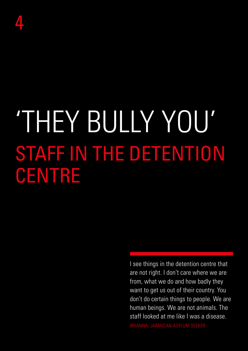# 'THEY BULLY YOU' STAFF IN THE DETENTION CENTRE

I see things in the detention centre that are not right. I don't care where we are from, what we do and how badly they want to get us out of their country. You don't do certain things to people. We are human beings. We are not animals. The staff looked at me like I was a disease. BRIANNA, JAMAICAN ASYLUM SEEKER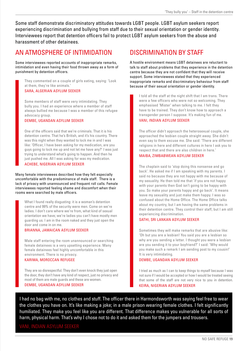Some staff demonstrate discriminatory attitudes towards LGBT people. LGBT asylum seekers report experiencing discrimination and bullying from staff due to their sexual orientation or gender identity. Interviewees report that detention officers fail to protect LGBT asylum seekers from the abuse and harassment of other detainees.

## AN ATMOSPHERE OF INTIMIDATION

Some interviewees reported accounts of inappropriate remarks, intimidation and even having their food thrown away as a form of punishment by detention officers.

They commented on a couple of girls eating, saying: 'Look at them, they're like animals.'

## SARA, ALGERIAN ASYLUM SEEKER

Some members of staff were very intimidating. They bully you. I had an experience where a member of staff always bullied me because I was a member of this refugee advocacy group.

## DEMBE, UGANDAN ASYLUM SEEKER

One of the officers said that we're criminals. That it is his detention centre. That he's British, and it's his country. There was this night when they wanted to lock me in and I was like: 'Officer, I have been asking for my medication, are you guys going to lock me up and not let me have any?' I was just trying to understand what's going to happen. And then he just pushed me. All I was asking for was my medication. ACHEBE, NIGERIAN ASYLUM SEEKER

Many female interviewees described how they felt especially uncomfortable with the predominance of male staff. There is a lack of privacy with unannounced and frequent roll calls. Female interviewees reported feeling shame and discomfort when their rooms were searched by male officers.

What I found really disgusting: it is a woman's detention centre and 99% of the security were men. Come on we're ladies. I don't care where we're from, what kind of sexual orientation we have; we're ladies you can't have mostly men guarding us. I am in the room naked and they just open the door and come in on me.

## BRIANNA, JAMAICAN ASYLUM SEEKER

Male staff entering the room unannounced or searching female detainees is a very upsetting experience. Many female detainees feel highly uncomfortable in this environment. There is no privacy. KARIMA, MOROCCAN REFUGEE

They are so disrespectful. They don't even knock they just open the door, they don't have any kind of respect, just no privacy and most of them are male guards and these are women. DEMBE, UGANDAN ASYLUM SEEKER

## DISCRIMINATION BY STAFF

A hostile environment means LGBT detainees are reluctant to talk to staff about problems that they experience in the detention centre because they are not confident that they will receive support. Some interviewees stated that they experienced inappropriate remarks and discriminatory behaviour from staff because of their sexual orientation or gender identity.

I told all the staff at the night shift that I am trans. There were a few officers who were not so welcoming. They emphasised 'Mister' when talking to me. I felt they have to be trained. They don't know how to approach a transgender person I suppose. It's making fun of me.

## VANI, INDIAN ASYLUM SEEKER

The officer didn't approach the heterosexual couple, she approached the lesbian couple straight away. She didn't even say to them excuse me. She said: 'There are different religions in here and different cultures in here I ask you to respect that and there are also children in here.'

## MAIBA, ZIMBABWEAN ASYLUM SEEKER

The chaplain said to 'stop doing this nonsense and go back'. He asked me if I am speaking with my parents. I said no because they are not happy with me because of my sexuality. He then told me that 'if you are not happy with your parents then God isn't going to be happy with you. So make your parents happy and go back'. It means leave my sexuality and just make them happy. I was so confused about the Home Office. The Home Office talks about my country, but I am having the same problems in their detention centre. They control their staff, but I am still experiencing discrimination.

## SATHI, SRI LANKAN ASYLUM SEEKER

Sometimes they will make remarks that are abusive like: 'Oh but you are a lesbian! You said you are a lesbian so why are you sending a letter. I thought you were a lesbian are you sending it to your boyfriend?' I said: 'Why would you make such a remark I am sending post to my cousin!' It is very intimidating.

## DEMBE, UGANDAN ASYLUM SEEKER

I tried as much as I can to keep things to myself because I was not sure if I would be accepted or how I would be treated seeing that some of the staff are not very nice to you in detention. KEIRA, NIGERIAN ASYLUM SEEKER

I had no bag with me, no clothes and stuff. The officer there in Harmondsworth was saying feel free to wear the clothes you have on. It's like making a joke; in a male prison wearing female clothes. I felt significantly humiliated. They make you feel like you are different. That difference makes you vulnerable for all sorts of harm, physical harm. That's why I chose not to do it and asked them for the jumpers and trousers.

## VANI, INDIAN ASYLUM SEEKER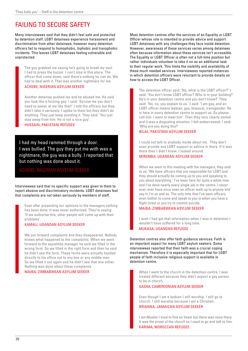## FAILING TO SECURE SAFETY

Many interviewees said that they didn't feel safe and protected by detention staff. LGBT detainees experience harassment and discrimination from other detainees, however many detention officers fail to respond to homophobic, biphobic and transphobic incidents. This leaves LGBT detainees feeling vulnerable and unprotected.

The guy grabbed me saying he's going to break my soul. I had to press the buzzer. I can't stay in this place. The officer that came down, said there's nothing he can do. We had to deal with it. That was another nightmare for me.

## ACHEBE, NIGERIAN ASYLUM SEEKER

Another detainee pushed me and he abused me. He said you look like a fucking gay. I said: 'Excuse me you don't need to swear at me like that!' I told the officers but they didn't take it seriously. I spoke to them but they didn't do anything. They just keep avoiding it. They said: 'You just stay away from him. He is not a nice guy'.

HUSSAIN, PAKISTANI REFUGEE

I had my head rammed through a door. I was bullied. The guy they put me with was a nightmare, the guy was a bully. I reported that but nothing was done about it.

## ACHEBE, NIGERIAN ASYLUM SEEKER

Interviewees said that no specific support was given to them to report abusive and discriminatory incidents. LGBT detainees feel that complaints are not taken seriously by members of staff.

Even after presenting our opinions to the managers nothing has been done. It was never authorised. They're saying: 'If we authorise this, other people will come up with their problems'.

## KAMALI, UGANDAN ASYLUM SEEKER

We put forward complaints and they disappeared. Nobody knows what happened to the complaints. When we went forward to the equalities manager he said we filled in the wrong form. So we filled in the right form and then he said he didn't see the form. These forms were actually handed directly to his office not to any box or any middle man. So we filled it out again and he didn't see that one either. Nothing was done about these complaints.

MAIBA, ZIMBABWEAN ASYLUM SEEKER

Most detention centres offer the services of an Equality or LGBT Officer whose role is intended to provide advice and support LGBT detainees with any challenges they face inside detention. However, awareness of these services varies among detainees often because information about these services isn't accessible. The Equality or LGBT Officer is often not a full-time position but rather individuals volunteer to take it on as an additional task to their regular work. This limits the visibility and availability of these much needed services. Interviewees reported instances in which detention officers were reluctant to provide details on how to access the LGBT Officer.

The detention officer said: 'No, what is the LGBT officer?' I said: 'You don't know LGBT officer? Who is in your building? He's in your detention centre and you don't know?' They said: 'No, no, you explain to us.' I said: 'I am gay, and an LGBT officer means lesbian, gay, bisexual, transgender. He is here in every detention centre to support us. So please call him. I want to meet him'. Then they very clearly smiled and it was a disgusting situation. I felt embarrassed. I said: 'Why are you doing this?'

## BILAL, PAKISTANI ASYLUM SEEKER

I could not talk to anybody inside about me. They don't even provide any LGBT support or advice in there. If it was there then I didn't know. I looked around.

## MIREMBA, UGANDAN ASYLUM SEEKER

When we went to this meeting with the managers, they said to us; 'We have officers that are responsible for LGBT and they should actually be coming up to you and speaking to you about everything.' I've been here for quite a while now and I've done nearly every single job in the centre. I never ever, ever have once seen an officer walk up to anyone and say hi I'm so and so. The only time that I've seen officers even bother to come and speak to you is when you have a flight ticket or you try to commit suicide.

## MAIBA, ZIMBABWEAN ASYLUM SEEKER

I wish I had got that information when I was in detention I wouldn't have suffered for a long time. MUKASA, UGANDAN REFUGEE

Detention centres also offer faith guidance services. Faith is an important aspect for many LGBT asylum seekers. Some interviewees reported that their faith was a crucial coping mechanism. Therefore it is especially important that for LGBT people of faith inclusive religious support is available in detention centre.

When I went to the church in the detention centre, I was treated different because they didn't expect a gay person to be in church.

## GASHA, CAMEROONIAN ASYLUM SEEKER

Even though I am a lesbian I still worship. I still go to church. I still worship because I am a Christian. BRIANNA, JAMAICAN ASYLUM SEEKER

I am Muslim I tried to find an Imam but there was none there. It was the priest of the church so I used to go and talk to him. KARIMA, MOROCCAN REFUGEE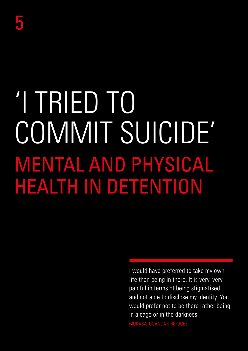# 'I TRIED TO COMMIT SUICIDE' MENTAL AND PHYSICAL HEALTH IN DETENTION

I would have preferred to take my own life than being in there. It is very, very painful in terms of being stigmatised and not able to disclose my identity. You would prefer not to be there rather being in a cage or in the darkness. MUKASA, UGANDAN REFUGEE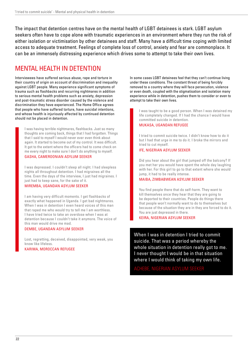The impact that detention centres have on the mental health of LGBT detainees is stark. LGBT asylum seekers often have to cope alone with traumatic experiences in an environment where they run the risk of either isolation or victimisation by other detainees and staff. Many have a difficult time coping with limited access to adequate treatment. Feelings of complete loss of control, anxiety and fear are commonplace. It can be an immensely distressing experience which drives some to attempt to take their own lives.

## MENTAL HEALTH IN DETENTION

Interviewees have suffered serious abuse, rape and torture in their country of origin on account of discrimination and inequality against LGBT people. Many experience significant symptoms of trauma such as flashbacks and recurring nightmares in addition to serious mental health problems such as anxiety, depression and post-traumatic stress disorder caused by the violence and discrimination they have experienced. The Home Office agrees that people who have suffered torture, have suicidal intentions, and whose health is injuriously affected by continued detention should not be placed in detention.

I was having terrible nightmares, flashbacks. Just so many thoughts are coming back, things that I had forgotten. Things that I said to myself I would never ever even think about again. It started to become out of my control. It was difficult. It got to the extent where the officers had to come check on me every night to make sure I don't do anything to myself.

## GASHA, CAMEROONIAN ASYLUM SEEKER

I was depressed. I couldn't sleep all night. I had sleepless nights all throughout detention. I had migraines all the time. Even the days of the interview, I just had migraines. I just had to keep sane, for the sake of it.

## MIREMBA, UGANDAN ASYLUM SEEKER

I am having very difficult moments. I get flashbacks of exactly what happened in Uganda. I get bad nightmares. When I was in detention I even heard voices of this man that raped me who would try to tell me I am worthless. I have tried twice to take an overdose when I was at detention because I couldn't take it anymore. The voice of this man would drive me mad.

### DEMBE, UGANDAN ASYLUM SEEKER

Lost, regretting, deceived, disappointed, very weak, you know like lifeless.

KARIMA, MOROCCAN REFUGEE

In some cases LGBT detainees feel that they can't continue living under these conditions. The constant threat of being forcibly removed to a country where they will face persecution, violence or even death, coupled with the stigmatisation and isolation many experience while in detention, pushes them to consider or even to attempt to take their own lives.

I was taught to be a good person. When I was detained my life completely changed. If I had the chance I would have committed suicide in detention.

## MUKASA, UGANDAN REFUGEE

I tried to commit suicide twice. I didn't know how to do it but I had that urge in me to do it. I broke the mirrors and tried to cut myself.

### IFE, NIGERIAN ASYLUM SEEKER

Did you hear about the girl that jumped off the balcony? If you met her you would have spent the whole day laughing with her. For this girl to go to that extent where she would jump, it had to be really intense.

## MAIBA, ZIMBABWEAN ASYLUM SEEKER

You find people there that do self-harm. They want to kill themselves once they hear that they are going to be deported to their countries. People do things there that people won't normally want to do to themselves but because of the situation they are in they are forced to do it. You are just depressed in there.

KEIRA, NIGERIAN ASYLUM SEEKER

When I was in detention I tried to commit suicide. That was a period whereby the whole situation in detention really got to me. I never thought I would be in that situation where I would think of taking my own life.

ACHEBE, NIGERIAN ASYLUM SEEKER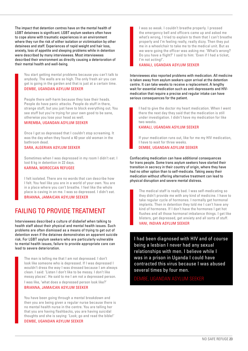The impact that detention centres have on the mental health of LGBT detainees is significant. LGBT asylum seekers often have to cope alone with traumatic experiences in an environment where they run the risk of either isolation or victimisation by other detainees and staff. Experiences of rapid weight and hair loss, anxiety, loss of appetite and sleeping problems while in detention were described by many interviewees. Most interviewees described their environment as directly causing a deterioration of their mental health and well-being.

You start getting mental problems because you can't talk to anybody. The walls are so high. The only fresh air you can get is going in the garden and that is just at a certain time. DEMBE, UGANDAN ASYLUM SEEKER

People there self-harm because they lose their heads. People do have panic attacks. People do stuff in there, strange stuff, but you just have to block everything out. You see stuff but you're trying for your own good to be sane, otherwise you lose your head as well.

MIREMBA, UGANDAN ASYLUM SEEKER

Once I got so depressed that I couldn't stop screaming. It was the day when they found a 40 year old woman in the bathroom dead.

SARA, ALGERIAN ASYLUM SEEKER

Sometimes when I was depressed in my room I didn't eat. I lost 6 kg in detention in 22 days.

## KARIMA, MOROCCAN REFUGEE

I felt isolated. There are no words that can describe how I felt. You feel like you are in a world of your own. You are in a place where you can't breathe. I feel like the whole place is caving in on me. I was so depressed. I didn't eat. BRIANNA, JAMAICAN ASYLUM SEEKER

## FAILING TO PROVIDE TREATMENT

Interviewees described a culture of disbelief when talking to health staff about their physical and mental health issues. Such problems are often dismissed as a means of trying to get out of detention even if the detainee demonstrates an apparent suicide risk. For LGBT asylum seekers who are particularly vulnerable to mental health issues, failure to provide appropriate care can lead to severe deterioration.

The man is telling me that I am not depressed. I don't look like someone who is depressed. If I was depressed I wouldn't dress the way I was dressed because I am always clean. I said: 'Listen I don't like to be messy. I don't like messy places'. He said to me I am not a depressed person. I was like, 'what does a depressed person look like?' BRIANNA, JAMAICAN ASYLUM SEEKER

You have been going through a mental breakdown and then you are being given a regular nurse because there is no mental health nurse in the centre. You are telling her that you are having flashbacks, you are having suicidal thoughts and she is saying: 'Look; go and read the bible!' DEMBE, UGANDAN ASYLUM SEEKER

I was so weak. I couldn't breathe properly. I pressed the emergency bell and officers came up and asked me what's wrong, I tried to explain to them that I can't breathe properly and I'm feeling really, really dizzy. Then they put me in a wheelchair to take me to the medical unit. But as we were going the officer was asking me: 'What's wrong? Do you have a flight?' I said to him: 'Even if I had a ticket, I'm not acting!'.

## KAMALI, UGANDAN ASYLUM SEEKER

Interviewees also reported problems with medication. All medicine is taken away from asylum seekers upon arrival at the detention centre. It can take weeks to receive a replacement. A lengthy wait for essential medication such as anti-depressants and HIVmedication that require a precise and regular intake can have serious consequences for the patient.

I had to give the doctor my heart medication. When I went there the next day they said that the medication is still under investigation. I didn't have my medication for like two weeks.

### KAMALI, UGANDAN ASYLUM SEEKER

If your medication runs out, like for me my HIV medication, I have to wait for three weeks.

## DEMBE, UGANDAN ASYLUM SEEKER

Confiscating medication can have additional consequences for trans people. Some trans asylum seekers have started their transition in secrecy in their country of origin, where they have had no other option than to self-medicate. Taking away their medication without offering alternative treatment can lead to physical disruption and severe mental distress.

The medical staff is really bad. I was self-medicating so they didn't provide me with any kind of medicine. I have to take regular cycle of hormones. I normally get hormonal implants. Then in detention they told me I can't have any kind of hormones. If I don't have the hormones I get hot flushes and all those hormonal imbalance things. I get like blisters, get depressed, get anxiety and all sorts of stuff. VANI, INDIAN ASYLUM SEEKER

I had been diagnosed with HIV and of course being a lesbian I never had any sexual relationships with men. I believe while I was in a prison in Uganda I could have contracted this virus because I was abused several times by four men.

DEMBE, UGANDAN ASYLUM SEEKER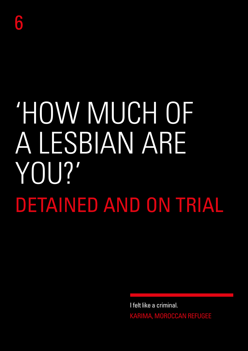# 'HOW MUCH OF A LESBIAN ARE YOU?' DETAINED AND ON TRIAL

I felt like a criminal. KARIMA, MOROCCAN REFUGEE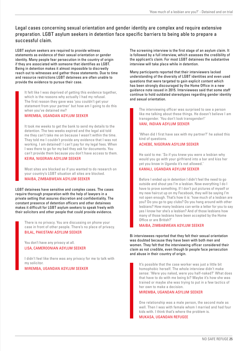## Legal cases concerning sexual orientation and gender identity are complex and require extensive preparation. LGBT asylum seekers in detention face specific barriers to being able to prepare a successful claim.

LGBT asylum seekers are required to provide witness statements as evidence of their sexual orientation or gender identity. Many people fear persecution in the country of origin if they are associated with someone that identifies as LGBT. Being in detention makes it almost impossible to discreetly reach out to witnesses and gather those statements. Due to time and resource restrictions LGBT detainees are often unable to provide the evidence to pursue their case.

It felt like I was deprived of getting this evidence together, which is the reasons why actually I had my refusal. The first reason they gave was 'you couldn't get your statement from your partner' but how am I going to do this when you've detained me?

## MIREMBA, UGANDAN ASYLUM SEEKER

It took me weeks to get the bank to send my details to the detention. The two weeks expired and the legal aid told me they can't take me on because I wasn't within the time. They told me I couldn't provide any evidence that I was not working. I am detained! I can't pay for my legal fees. When I was there to go for my bail they ask for documents. You can't provide them because you don't have access to them. KEIRA, NIGERIAN ASYLUM SEEKER

Most sites are blocked so if you wanted to do research on your country's LGBT situation all sites are blocked. MAIBA, ZIMBABWEAN ASYLUM SEEKER

LGBT detainees have sensitive and complex cases. The cases require thorough preparation with the help of lawyers in a private setting that assures discretion and confidentiality. The constant presence of detention officers and other detainees makes it difficult for LGBT asylum seekers to speak freely with their solicitors and other people that could provide evidence.

There is no privacy. You are discussing on phone your case in front of other people. There's no place of privacy. BILAL, PAKISTANI ASYLUM SEEKER

You don't have any privacy at all. LISA, CAMEROONIAN ASYLUM SEEKER

I didn't feel like there was any privacy for me to talk with my solicitor.

MIREMBA, UGANDAN ASYLUM SEEKER

The screening interview is the first stage of an asylum claim. It is followed by a full interview, which assesses the credibility of the applicant's claim. For most LGBT detainees the substantive interview will take place while in detention.

Many participants reported that their interviewers lacked understanding of the diversity of LGBT identities and even used questions that were targeted to gain explicit content which has been strongly discouraged by the Home Office in a new guidance note issued in 2015. Interviewees said that some staff continue to hold outdated stereotypes regarding gender identity and sexual orientation.

The interviewing officer was surprised to see a person like me talking about these things. He doesn't believe I am transgender. 'You don't look transgender!'

## VANI, INDIAN ASYLUM SEEKER

'When did I first have sex with my partner?' he asked this kind of questions.

## ACHEBE, NIGERIAN ASYLUM SEEKER

He said to me: 'So if you knew you were a lesbian why would you go with your girlfriend into a bar and kiss her yet you know in Uganda it's not allowed.'

## KAMALI, UGANDAN ASYLUM SEEKER

Before I ended up in detention I didn't feel the need to go outside and shout yes I'm a lesbian. Now everything I do I have to prove something. If I don't put pictures of myself or my new haircut up on my Facebook, they will be saying I'm not open enough. That's how it is: 'how much of a lesbian are you? Do you go to gay clubs? Do you hang around with other lesbians? How many lesbians can write a letter for you to say yes I know her she's a lesbian? And of those lesbians how many of those lesbians have been accepted by the Home Office or are British?'

## MAIBA, ZIMBABWEAN ASYLUM SEEKER

Bi interviewees reported that they felt their sexual orientation was doubted because they have been with both men and women. They felt that the interviewing officer considered their claim as not credible, even though bi people face persecution and abuse in their country of origin.

It's possible that the case worker was just a little bit homophobic herself. The whole interview didn't make sense: 'Were you naked, were you half-naked?' What does that have to do with me being bi? Maybe it's how she was trained or maybe she was trying to put in a few tactics of her own to make a decision.

## MIREMBA, UGANDAN ASYLUM SEEKER

One relationship was a male person, the second male as well. Then I was with female whom I married and had four kids with. I think that's where the problem is.

MUKASA, UGANDAN REFUGEE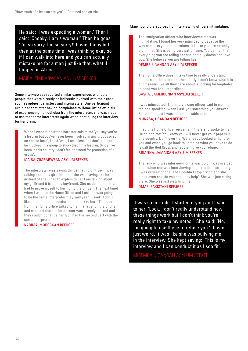He said: 'I was expecting a woman.' Then I said: 'Cheeky, I am a woman!' Then he goes: 'I'm so sorry, I'm so sorry!' It was funny but then at the same time I was thinking okay so if I can walk into here and you can actually mistake me for a man just like that, what'll happen in Africa.

## MAIBA, ZIMBABWEAN ASYLUM SEEKER

Some interviewees reported similar experiences with other people that were directly or indirectly involved with their case, such as judges, barristers and interpreters. One participant explained that after having complained to Home Office officials of experiencing homophobia from the interpreter, she was made to use that same interpreter again when continuing the interview for her claim:

When I went to court the barrister said to me 'you say you're a lesbian but you've never been involved in any groups or so on and so forth', I said 'well, I am a lesbian I don't need to be involved in a group to show that I'm a lesbian. Since I've been in this country I don't feel the need for protection of a group'.

## MAIBA, ZIMBABWEAN ASYLUM SEEKER

The interpreter was saying things that I didn't say. I was talking about my girlfriend and she was saying like he instead of she. I had to explain to her I am talking about my girlfriend it is not my boyfriend. She made me feel that I had to prove myself to her not to the officer. [The next time] when I went to the Home Office and I ask if it was going to be the same interpreter they said yeah. I said: 'I don't like her. I don't feel comfortable to talk to her!' The lady from the Home Office talked to her manager on the phone and she said that the interpreter was already booked and they couldn't change her. So I had the second part with the same interpreter.

## KARIMA, MOROCCAN REFUGEE

## Many found the approach of interviewing officers intimidating.

The immigration officer who interviewed me was intimidating. I found her very intimidating because the way she asks you the questions. It is like you are actually a criminal. She is being very patronising. You can tell that everything you are telling her she actually doesn't believe you. She believes you are telling lies.

## DEMBE, UGANDAN ASYLUM SEEKER

The Home Office doesn't take time to really understand people's stories and treat them fairly. I don't know what it is but it seems like all they care about is looking for loopholes to send you back regardless.

## GASHA, CAMEROONIAN ASYLUM SEEKER

I was intimidated. The interviewing officer said to me: 'I am the one speaking, when I ask you something you answer.' So to be honest I was not comfortable at all. MUKASA, UGANDAN REFUGEE

I had this Home Office rep came in there and spoke to me. He said to me: 'You know you will never get your papers in this country. Don't ever try. We already booked a flight for you and when you go back to Jamaica what you have to do is call the Red Cross and let them give you refuge.' BRIANNA, JAMAICAN ASYLUM SEEKER

The lady who was interviewing me was cold. I was in a bad state when she was interviewing me in the first screening. I was very emotional and I couldn't stop crying and she didn't even ask 'do you need any help'. She was just sitting there. She was just watching me.

OMAR, PAKISTANI REFUGEE

It was so horrible. I started crying and I said to her: 'Look, I don't really understand how these things work but I don't think you're really right to take my notes.' She said: 'No, I'm going to use these to refuse you.' It was just weird. It was like she was bullying me in the interview. She kept saying: 'This is my interview and I can conduct it as I see fit'.

MIREMBA, UGANDAN ASYLUM SEEKER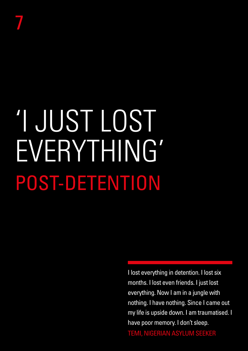# 'I JUST LOST EVERYTHING' POST-DETENTION

I lost everything in detention. I lost six months. I lost even friends. I just lost everything. Now I am in a jungle with nothing. I have nothing. Since I came out my life is upside down. I am traumatised. I have poor memory. I don't sleep.

TEMI, NIGERIAN ASYLUM SEEKER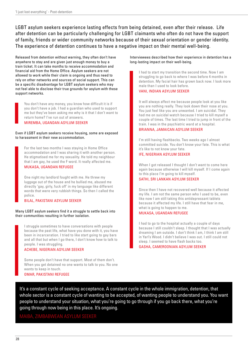LGBT asylum seekers experience lasting effects from being detained, even after their release. Life after detention can be particularly challenging for LGBT claimants who often do not have the support of family, friends or wider community networks because of their sexual orientation or gender identity. The experience of detention continues to have a negative impact on their mental well-being.

Released from detention without warning, they often don't have anywhere to stay and are given just enough money to buy a train ticket. It can take months to receive accommodation and financial aid from the Home Office. Asylum seekers are not allowed to work while their claim is ongoing and thus need to rely on other networks and sources of social support. This can be a specific disadvantage for LGBT asylum seekers who may not feel able to disclose their true grounds for asylum with these support networks.

You don't have any money, you know how difficult it is if you don't have a job. I had a guardian who used to support me but they've been asking me why is it that I don't want to return home? I've run out of answers.

MIREMBA, UGANDAN ASYLUM SEEKER

## Even if LGBT asylum seekers receive housing, some are exposed to harassment in their new accommodation.

For the last two months I was staying in Home Office accommodation and I was sharing it with another person. He stigmatised me for my sexuality. He told my neighbour that I am gay, he used the F word. It really affected me.

## MUKASA, UGANDAN REFUGEE

One night my landlord fought with me. He threw my luggage out of the house and he bullied me, abused me directly 'gay, girly, fuck off' in my language like different words that were very rubbish things. So then I called the police.

## BILAL, PAKISTANI ASYLUM SEEKER

## Many LGBT asylum seekers find it a struggle to settle back into their communities resulting in further isolation.

I struggle sometimes to have conversations with people because the past life, what have you done with it, you have been in incarceration. I tried to like start going to gay bars and all that but when I go there, I don't know how to talk to people. I was struggling.

## ACHEBE, NIGERIAN ASYLUM SEEKER

Some people don't have that support. Most of them don't. When you get detained no one wants to talk to you. No one wants to keep in touch. OMAR, PAKISTANI REFUGEE

Interviewees described how their experience in detention has a long-lasting impact on their well-being.

I had to start my transition the second time. Now I am struggling to go back to where I was before 4 months in detention. My facial hair has grown back now. I look more male than I used to look before.

## VANI, INDIAN ASYLUM SEEKER

It will always affect me because people look at you like you are nothing really. They look down their nose at you. You just feel like you are unwanted. I am suicidal. They had me on suicidal watch because I tried to kill myself a couple of times. The last time I tried to jump in front of the train. I was in the psychiatric ward at a hospital.

## BRIANNA, JAMAICAN ASYLUM SEEKER

I'm still having flashbacks. Two weeks ago I almost committed suicide. You don't know your fate. This is what it's like to not know your fate.

## IFE, NIGERIAN ASYLUM SEEKER

When I got released I thought I don't want to come here again because otherwise I will kill myself. If I come again to this place I'm going to kill myself.

## SATHI, SRI LANKAN ASYLUM SEEKER

Since then I have not recovered well because it affected my life. I am not the same person who I used to be, even like now I am still taking this antidepressant tablets because it affected my life. I still have that fear in me, what is going to happen to me.

## MUKASA, UGANDAN REFUGEE

I had to go to the hospital actually a couple of days because I still couldn't sleep. I thought that I was actually dreaming I am outside. I don't think I am, I think I am still in Yarl's Wood. I didn't believe I was out. I still could not sleep. I seemed to have flash backs too.

GASHA, CAMEROONIAN ASYLUM SEEKER

It's a constant cycle of seeking acceptance. A constant cycle in the whole immigration, detention, that whole sector is a constant cycle of wanting to be accepted, of wanting people to understand you. You want people to understand your situation, what you're going to go through if you go back there, what you're going through now being in this place. It's ongoing.

## MAIBA, ZIMBABWEAN ASYLUM SEEKER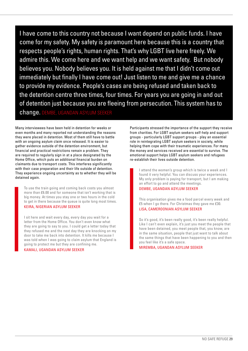I have come to this country not because I want depend on public funds. I have come for my safety. My safety is paramount here because this is a country that respects people's rights, human rights. That's why LGBT live here freely. We admire this. We come here and we want help and we want safety. But nobody believes you. Nobody believes you. It is held against me that I didn't come out immediately but finally I have come out! Just listen to me and give me a chance to provide my evidence. People's cases are being refused and taken back to the detention centre three times, four times. For years you are going in and out of detention just because you are fleeing from persecution. This system has to change. DEMBE, UGANDAN ASYLUM SEEKER

Many interviewees have been held in detention for weeks or even months and many reported not understanding the reasons they were placed in detention. Most of them still have to battle with an ongoing asylum claim once released. It is easier to gather evidence outside of the detention environment, but financial and practical restrictions remain a problem. They are required to regularly sign in at a place designated by the Home Office, which puts an additional financial burden on claimants due to transport costs. This interferes significantly with their case preparation and their life outside of detention. They experience ongoing uncertainty as to whether they will be detained again.

To use the train going and coming back costs you almost more than £6.00 and for someone that isn't working that is big money. At times you stay one or two hours in the cold to get in there because the queue is quite long most times. KEIRA, NIGERIAN ASYLUM SEEKER

I sit here and wait every day, every day you wait for a letter from the Home Office. You don't even know what they are going to say to you. I could get a letter today that they refused me and the next day they are knocking on my door to take me back into detention. It kills me because I was told when I was going to claim asylum that England is going to protect me but they are confining me. KAMALI, UGANDAN ASYLUM SEEKER

Participants stressed the importance of the support they receive from charities. For LGBT asylum seekers self-help and support groups - particularly LGBT support groups - play an essential role in reintegrating LGBT asylum seekers in society, while helping them cope with their traumatic experiences. For many the money and services received are essential to survive. The emotional support helps LGBT asylum seekers and refugees re-establish their lives outside detention.

I attend the women's group which is twice a week and I found it very helpful. You can discuss your experiences. My only problem is paying for transport, but I am making an effort to go and attend the meetings.

## DEMBE, UGANDAN ASYLUM SEEKER

This organisation gives me a food parcel every week and £5 when I go there. For Christmas they gave me £30. LISA, CAMEROONIAN ASYLUM SEEKER

So it's good, it's been really good, it's been really helpful. Like I can't even explain, it's just you meet the people that have been detained, you meet people that, you know, are in the same situation, people that just want to talk about the same things that have been happening to you and then you feel like it's a safe space.

## MIREMBA, UGANDAN ASYLUM SEEKER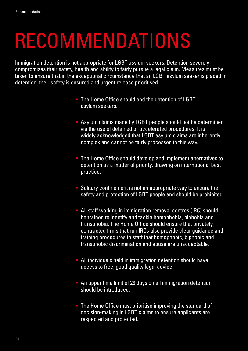## RECOMMENDATIONS

Immigration detention is not appropriate for LGBT asylum seekers. Detention severely compromises their safety, health and ability to fairly pursue a legal claim. Measures must be taken to ensure that in the exceptional circumstance that an LGBT asylum seeker is placed in detention, their safety is ensured and urgent release prioritised.

- The Home Office should end the detention of LGBT asylum seekers.
- Asylum claims made by LGBT people should not be determined via the use of detained or accelerated procedures. It is widely acknowledged that LGBT asylum claims are inherently complex and cannot be fairly processed in this way.
- The Home Office should develop and implement alternatives to detention as a matter of priority, drawing on international best practice.
- Solitary confinement is not an appropriate way to ensure the safety and protection of LGBT people and should be prohibited.
- All staff working in immigration removal centres (IRC) should be trained to identify and tackle homophobia, biphobia and transphobia. The Home Office should ensure that privately contracted firms that run IRCs also provide clear guidance and training procedures to staff that homophobic, biphobic and transphobic discrimination and abuse are unacceptable.
- All individuals held in immigration detention should have access to free, good quality legal advice.
- An upper time limit of 28 days on all immigration detention should be introduced.
- The Home Office must prioritise improving the standard of decision-making in LGBT claims to ensure applicants are respected and protected.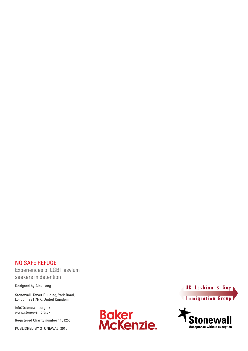## NO SAFE REFUGE Experiences of LGBT asylum seekers in detention

Designed by Alex Long

Stonewall, Tower Building, York Road, London, SE1 7NX, United Kingdom

info@stonewall.org.uk www.stonewall.org.uk

Registered Charity number 1101255

PUBLISHED BY STONEWAL, 2016